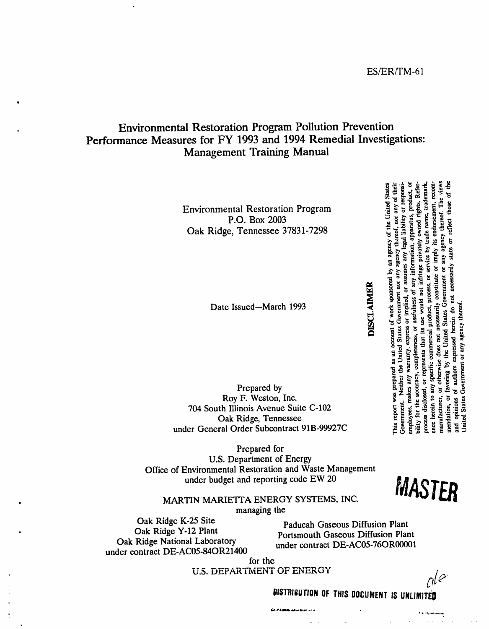### **Environmental Restoration Program Pollution Prevention** Performance Measures for FY 1993 and 1994 Remedial Investigations: **Management Training Manual**

**Environmental Restoration Program** P.O. Box 2003 Oak Ridge, Tennessee 37831-7298

Date Issued-March 1993

Prepared by Roy F. Weston, Inc. 704 South Illinois Avenue Suite C-102 Oak Ridge, Tennessee under General Order Subcontract 91B-99927C

Prepared for **U.S. Department of Energy** Office of Environmental Restoration and Waste Management under budget and reporting code EW 20



MARTIN MARIETTA ENERGY SYSTEMS, INC.

managing the

Oak Ridge K-25 Site Oak Ridge Y-12 Plant Oak Ridge National Laboratory under contract DE-AC05-84OR21400

Paducah Gaseous Diffusion Plant **Portsmouth Gaseous Diffusion Plant** under contract DE-AC05-76OR00001

for the **U.S. DEPARTMENT OF ENERGY** 

CAMERON ARRAIGNMENT

 $rk^2$ 

 $\alpha$  ,  $\alpha$  ,  $\beta$  ,  $\alpha$ 

DISTRIBUTION OF THIS DOCUMENT IS UNLIMITED

## **DISCLAIMER**

bility for the accuracy, completeness, or usefulness of any information, apparatus, product, or ence herein to any specific commercial product, process, or service by trade name, trademark,

employees, makes any warranty, express or implied, or assumes any

Government. Neither the United States Government nor any

resents that its use would not infringe privately owned rights. Refer

This report was prepared as an account of work sponsored by an agency of the United States

agency thereof, nor any of their

liability or responsi-

agency thereof. The views

constitute or imply its endorsement,

opinions of authors expressed herein do not necessarily state or reflect those of the

Jnited States Government or any agency thereof.

by the United States Government or

or otherwise does not necessarily

mendation, or favoring

g

manufacturer,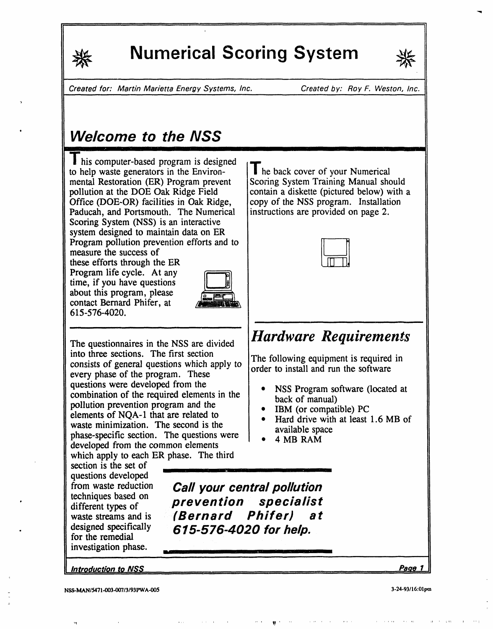

**I**r**l**

.j

## **Numerical Scoring System**



Created for: Martin Marietta Energy Systems, Inc**.** Created by: Roy F. Weston**,** Inc.

## Welcome to the NSS

his computer-based program is designed<br>  $\Box$  **11** he back cover of your Numerical<br>  $\Box$  **11** he back cover of your Numerical to help waste generators in the Environ-<br>  $\parallel$  he back cover of your Numerical<br>
Scoring System Training Manual should mental Restoration (ER) Program prevent Scoring System Training Manual should pollution at the DOE Oak Ridge Field contain a diskette (pictured below) with a pollution at the DOE Oak Ridge Field contain a diskette (pictured below) with Office (DOE-OR) facilities in Oak Ridge, copy of the NSS program. Installation Office (DOE-OR) facilities in Oak Ridge, copy of the NSS program. Installation Paducah, and Portsmouth. The Numerical instructions are provided on page 2. Paducah, and Portsmouth. The Numerical Scoring System (NSS) is an interactive system designed to main**t**ain data on ER Program pollution prevention efforts and to

measure the success **o**f these efforts t**h**rough the ER Program life cycle. At any time, if you have questions about this program, please c**o**ntact Bernard Phifer, at 615-576-4020.



i in <u>die see die Nationale en die Verschilden van die Verschilden van die Stads</u>

The questionnaires in the NSS are divided *Hardware Requirements* into three sections. The first section into three sections. The first section<br>consists of general questions which apply to  $\int_{\text{order to inertial and min}}^{\text{max}}$  to estimate every phase of the program. These<br>questions were developed from the questions were developed from the **example of the required elements** in the **back** of manual) pollution prevention program and the **repulsion o IBM** (or compatible) PC **•** IBM (or compatible) PC was eminimization. The second is the **•** Hard drive with at least 1.6 MB of **parallelly** are all the second is the **parallelly** and  $\alpha$ waste minimization. The second is the second is the available space phase**-**specific secti**o**n. The ques**t**i**o**ns were **•** 4 MB RAM developed from the common elements which apply to each ER phase. The third

section is the set of questions developed<br>from waste reduction techniques based on different types of<br>waste streams and is investigati**o**n phase**. .**

from waste reducti**o**n *Ca//your central pollution* waste streams and is (**Bernard** Phifer) at<br>designed specifically 615-576-4020 for help • designed specifically 615**-**576-4020 for help. <sup>f</sup>**or** the remed**i**al

<u>Introduction to NSS , Page 1</u>

=

## **i i iii**m**l**

order to install and run the software

- 
- 
- 
-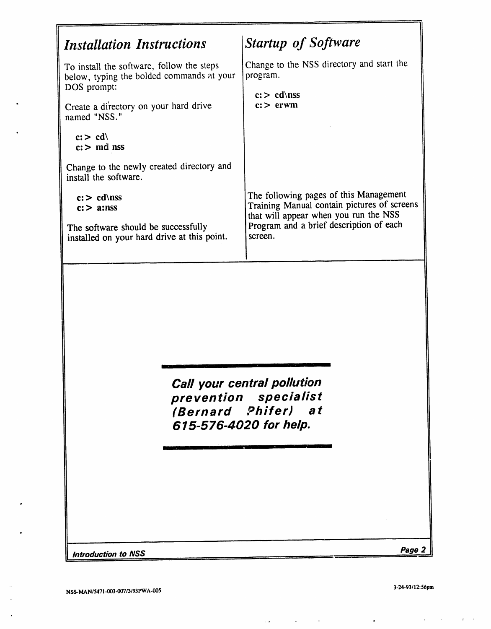$\bullet$ 

 $\overline{a}$ 

 $\bar{\phantom{a}}$ 

 $\mathbf{m}$ 

 $\label{eq:1.1} \mathbf{u}(\mathbf{u}) = \mathbf{u}(\mathbf{u}) + \mathbf{u}(\mathbf{u}) = \mathbf{u}(\mathbf{u}) + \mathbf{u}(\mathbf{u})$ 

 $\mathcal{O}(\mathcal{A}^{\mathcal{A}})$  , where  $\mathcal{O}(\mathcal{A}^{\mathcal{A}})$  is the contribution of  $\mathcal{A}^{\mathcal{A}}$ 

====

٦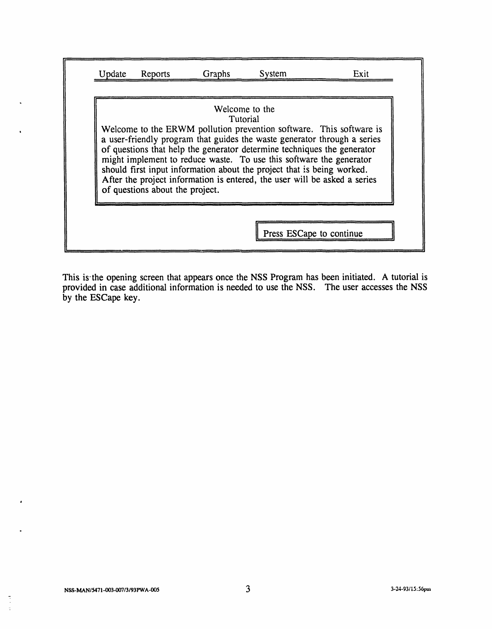| Welcome to the<br>Tutorial<br>Welcome to the ERWM pollution prevention software. This software is<br>a user-friendly program that guides the waste generator through a series<br>of questions that help the generator determine techniques the generator<br>might implement to reduce waste. To use this software the generator<br>should first input information about the project that is being worked. |
|-----------------------------------------------------------------------------------------------------------------------------------------------------------------------------------------------------------------------------------------------------------------------------------------------------------------------------------------------------------------------------------------------------------|
|-----------------------------------------------------------------------------------------------------------------------------------------------------------------------------------------------------------------------------------------------------------------------------------------------------------------------------------------------------------------------------------------------------------|

This is'the **o**pen**i**ng sc**r**een that appears **o**nce the NSS Pr**o**gra**m** has been initiated. A tutorial is pr**o**vi**d**ed **i**n case a**dd**iti**o**nal **i**nf**or**mati**o**n **i**s nee**d**ed t**o** use the NSS. The use**r** accesses the NSS by the ESCape key.

 $\frac{1}{\beta}$  $\bar{\mathbb{E}}$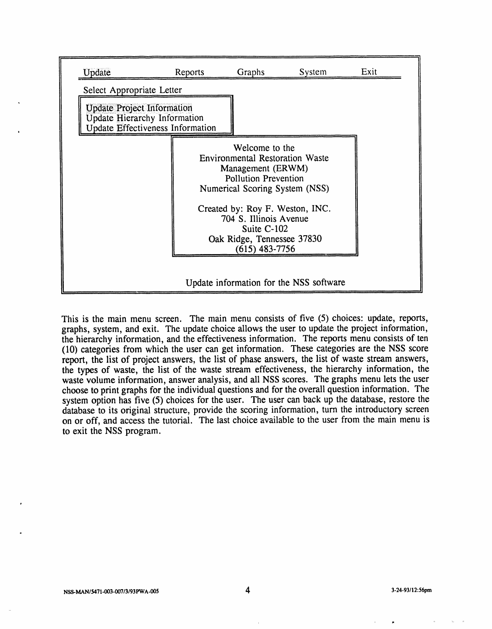| Update                            | Reports                                                                        | Graphs                                                                                                                                         | System                                  | Exit |
|-----------------------------------|--------------------------------------------------------------------------------|------------------------------------------------------------------------------------------------------------------------------------------------|-----------------------------------------|------|
| Select Appropriate Letter         |                                                                                |                                                                                                                                                |                                         |      |
| <b>Update Project Information</b> | <b>Update Hierarchy Information</b><br><b>Update Effectiveness Information</b> |                                                                                                                                                |                                         |      |
|                                   |                                                                                | Welcome to the<br><b>Environmental Restoration Waste</b><br>Management (ERWM)<br><b>Pollution Prevention</b><br>Numerical Scoring System (NSS) |                                         |      |
|                                   |                                                                                | Created by: Roy F. Weston, INC.<br>704 S. Illinois Avenue<br>Suite C-102<br>Oak Ridge, Tennessee 37830<br>(615) 483-7756                       |                                         |      |
|                                   |                                                                                |                                                                                                                                                | Update information for the NSS software |      |

This is the main menu screen. The main menu consists of five (5) choices: update, reports, graphs, system, and exit. The update choice allows the user to update the project information, the hierarchy information, and the effectiveness information. The reports menu consists of ten (10) categories from which the user can get information. These categories are the NSS score report, the list of project answers, the list of phase answers, the list of waste stream answers, the types of waste, the list of the waste stream effectiveness, the hierarchy information, the waste volume information, answer analysis, and ali NSS scores. The graphs menu lets the user choose to print graphs for the individual questions and for the o*v*erall question information. The system option has five (5) choices for the user. The user can back up the database, restore the database to its **o**riginal structure, provi**d**e the sc**o**ring inf**o**rmation, tur**n** the intro**d**uctory screen on or off, and access the tuto**ri**al. The last choice available to the user from the main menu is to exit the NSS program.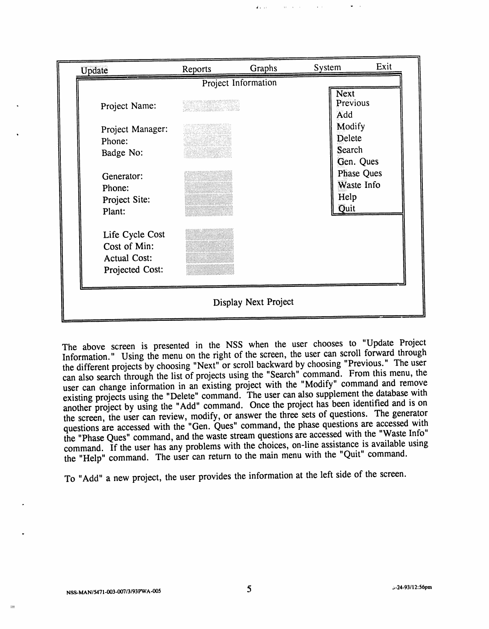| Update                                                                    | Reports | Graphs<br>Project Information | System                                          | Exit |
|---------------------------------------------------------------------------|---------|-------------------------------|-------------------------------------------------|------|
| Project Name:                                                             |         |                               | Next<br>Previous<br>Add                         |      |
| Project Manager:<br>Phone:<br>Badge No:                                   |         |                               | Modify<br>Delete<br>Search<br>Gen. Ques         |      |
| Generator:<br>Phone:<br>Project Site:<br>Plant:                           |         |                               | <b>Phase Ques</b><br>Waste Info<br>Help<br>Quit |      |
| Life Cycle Cost<br>Cost of Min:<br><b>Actual Cost:</b><br>Projected Cost: |         |                               |                                                 |      |
|                                                                           |         | Display Next Project          |                                                 |      |

The above screen is presented in the NSS when the user chooses to "Update Project Information." Using the menu on the right of the screen, the user can scroll forward through the different projects by choosing "Next" or scroll backward by choosing "Previous." The user can also search through the list of projects using the "Search" command. From this menu, the can also search through the list of projects using the "Search" command. From this menu, the user can change information in an existing project with the "Modify" command and remove existing projects using the "Delete" command. The user can also supplement the database with another project by using the "Add" command. Once the project has been identified and is on another project by using the "Add" command. Once the project has been identified and is on th**e** sc**r**een, th**e** us**er** can **re**vi**e**w, modif**y**, o**r** answ**er** th**e** th**ree** s**e**ts of qu**e**stions**.** Th**e** g**e**n**er**ato**r** qu**es**tions a**re** acc**e**ssed with th**e** "G**e**n. Qu**e**s" command, th**e** phase qu**e**stions a**re** acc**e**ssed with **t**h**e** "**P**has**e** Qu**e**s" command, and th**e** was**te** st**re**am qu**e**s**t**ions a**r**e acc**e**ssed with the "Wast**e I**nfo" command**. I**f th**e** u**se**r ha**s** an**y** p**r**ob**le**ms with **t**h**e** choic**e**s, on-**l**in**e** a**ss**i**st**ance i**s** availabl**e** u**s**ing the "H**e**lp" command**.** Th**e** us**er** can **r**etu**r**n to th**e** main m**e**nu with th**e** "Quit" command**.**

To "Add" a n**e**w project, **t**h**e** u**ser** provid**es t**h**e** info**r**mation at the **le**ft side of th**e** screen.

z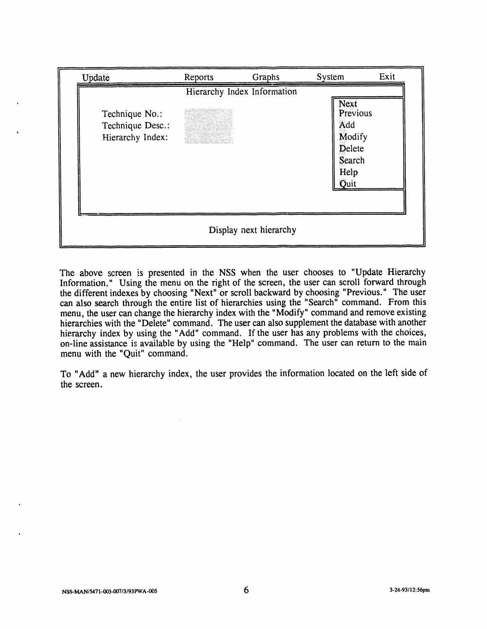| Update                                                 | Reports | Graphs                      | System                                                                | Exit |
|--------------------------------------------------------|---------|-----------------------------|-----------------------------------------------------------------------|------|
| Technique No.:<br>Technique Desc.:<br>Hierarchy Index: |         | Hierarchy Index Information | Next<br>Previous<br>Add<br>Modify<br>Delete<br>Search<br>Help<br>Quit |      |
|                                                        |         | Display next hierarchy      |                                                                       |      |

The above screen is presented in the NSS when the user chooses to "Update Hierarchy Information." Using the menu on the right of the screen, the user can scroll forward through the different indexes by choosing "Next" or scroll backward by choosing "Previous." The user can also search through the entire list of hierarchies using the "Search" command. From this menu, the user can change the hierarchy index with the "Modify" command and remove existing hierarchies with the "Delete" command. The user can also supplement the database with another hierarchy index by using the "Add" command. If the user has any problems with the choices, on-line assistance is available by using the "Help" command. The user can return to the main menu with the "Quit" command.

To "Add" a new hierarchy index, the user provides the information located on the left side of the screen.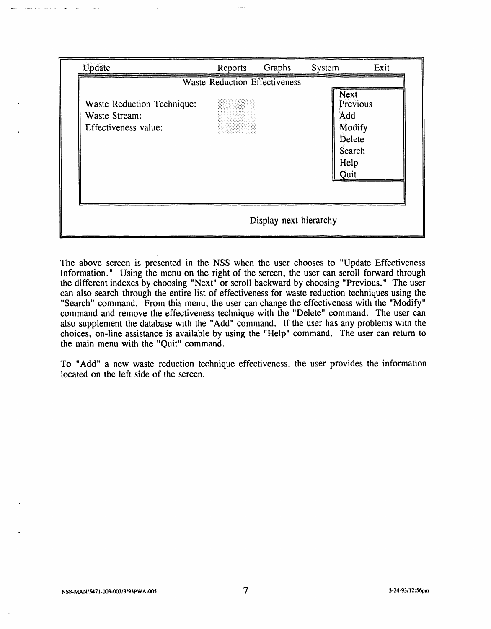| <b>Waste Reduction Effectiveness</b>                                |
|---------------------------------------------------------------------|
| Waste Reduction Technique:<br>Waste Stream:<br>Effectiveness value: |

The above screen is presented in the NSS when the user chooses to "Update Effectiveness Information." Using the menu on the right of the screen, the user can scroll forward through the different indexes by choosing "Next" or scroll backward by choosing "Previous." The user can also search through the entire list of effectiveness for waste reduction techniques using the "Search" command. From this menu, the user can change the effectiveness with the "Modify" command and remove the effectiveness technique with the "Delete" command. The user can also supplement the da**t**abase with the "Add" command. If the user has any problems with the choices, on-line assis**t**ance is available by using the "Help" command. The user can return to the main menu with the "Quit" command.

To "Add" a new waste reduction technique effectiveness, the user provides the information located on the left side of the screen.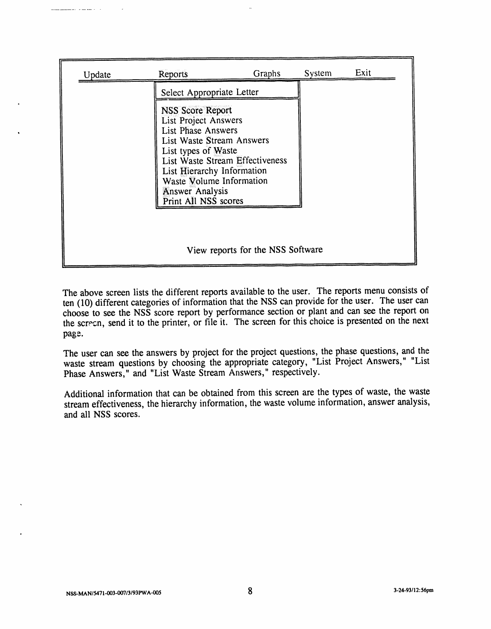| Update | Reports                                                                                                                                                                                                                                                                  | Graphs | System | Exit |
|--------|--------------------------------------------------------------------------------------------------------------------------------------------------------------------------------------------------------------------------------------------------------------------------|--------|--------|------|
|        | Select Appropriate Letter                                                                                                                                                                                                                                                |        |        |      |
|        | NSS Score Report<br><b>List Project Answers</b><br><b>List Phase Answers</b><br>List Waste Stream Answers<br>List types of Waste<br>List Waste Stream Effectiveness<br>List Hierarchy Information<br>Waste Volume Information<br>Answer Analysis<br>Print All NSS scores |        |        |      |
|        |                                                                                                                                                                                                                                                                          |        |        |      |

The above screen lists the different reports available to the user. The reports menu consists of ten (10) different categories of information that the NSS can provide for the user. The user can choose to see the NSS score report by performance section or plant and can see the report on the screen, send it to the printer, or file it. The screen for this choice is presented on the next page.

The user can see the answers by project for the project questions, the phase questions, and the waste stream questions by choosing the appropriate category, "List Project Answers," "List Phase Answers," and "List Waste Stream Answers," respectively.

Additional information that can be obtained from this screen are the types of waste, the waste stream effectiveness, the hierarchy information, the waste volume information, answer analysis, and ali NSS scores.

الأراسية للتداعى المتهر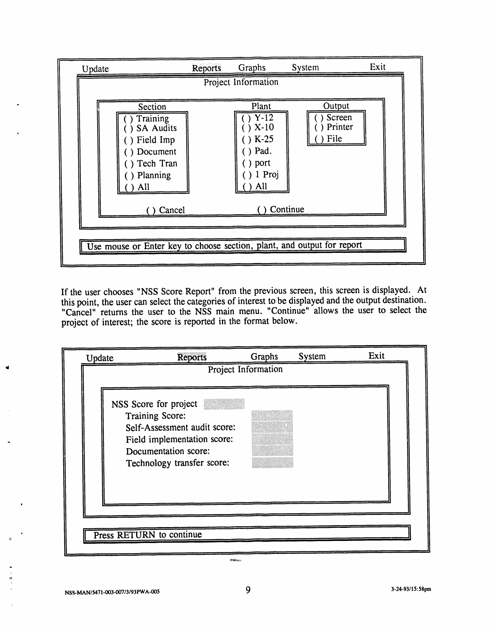| Update |                                                                                                          | Reports | Graphs                                                                          | System                              | Exit |
|--------|----------------------------------------------------------------------------------------------------------|---------|---------------------------------------------------------------------------------|-------------------------------------|------|
|        |                                                                                                          |         | Project Information                                                             |                                     |      |
|        | Section<br>Training<br><b>SA Audits</b><br>) Field Imp<br>) Document<br>) Tech Tran<br>) Planning<br>All |         | Plant<br>$Y-12$<br>$X-10$<br>$) K-25$<br>$()$ Pad.<br>) port<br>$1$ Proj<br>All | Output<br>Screen<br>Printer<br>File |      |
|        | Cancel                                                                                                   |         |                                                                                 | Continue                            |      |
|        | Use mouse or Enter key to choose section, plant, and output for report                                   |         |                                                                                 |                                     |      |

If the user chooses "NSS Score Report" from the previous screen, this screen is displayed. At this point, the user can select the categories of interest to be displayed and the output destination. "Cancel" returns the user to the NSS main menu. "Continue" allows the user to select the project of interest; the score is reported in the format below.

|    | Update | <b>Reports</b>                                                                                                                                                | Graphs              | System | Exit |  |
|----|--------|---------------------------------------------------------------------------------------------------------------------------------------------------------------|---------------------|--------|------|--|
|    |        |                                                                                                                                                               | Project Information |        |      |  |
|    |        | NSS Score for project<br>Training Score:<br>Self-Assessment audit score:<br>Field implementation score:<br>Documentation score:<br>Technology transfer score: |                     |        |      |  |
|    |        |                                                                                                                                                               |                     |        |      |  |
| ÷. |        | Press RETURN to continue                                                                                                                                      |                     |        |      |  |
|    |        |                                                                                                                                                               |                     |        |      |  |

**NSS-MAN***/*5**47**1**-00**3**-007***/*3*1***9**3PWA**-00**<sup>5</sup> 9 <sup>3</sup>**-2**4**-9**3*/***1**5:5**8pm**

m

**OSHEE**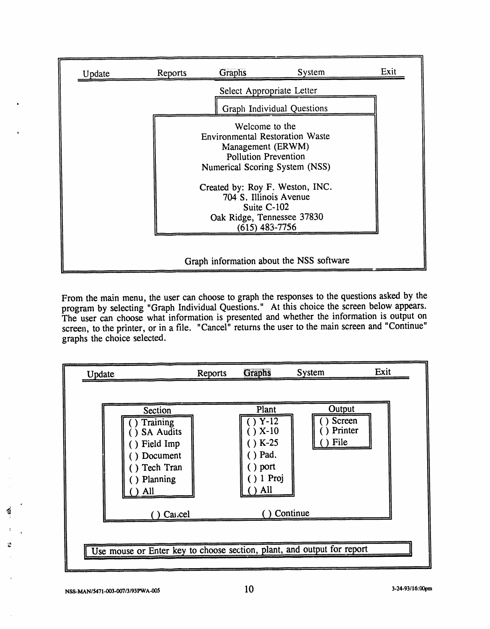| Update | Reports | Graphs                                                                                                                                         | System                                   | Exit |
|--------|---------|------------------------------------------------------------------------------------------------------------------------------------------------|------------------------------------------|------|
|        |         |                                                                                                                                                | Select Appropriate Letter                |      |
|        |         |                                                                                                                                                | Graph Individual Questions               |      |
|        |         | Welcome to the<br><b>Environmental Restoration Waste</b><br>Management (ERWM)<br><b>Pollution Prevention</b><br>Numerical Scoring System (NSS) |                                          |      |
|        |         | Created by: Roy F. Weston, INC.<br>704 S. Illinois Avenue<br>Suite C-102<br>Oak Ridge, Tennessee 37830<br>$(615)$ 483-7756                     |                                          |      |
|        |         |                                                                                                                                                | Graph information about the NSS software |      |

From the main menu, the user can choose to graph the responses to the questions asked by the program by selecting "Graph Individual Questions." At this choice the screen below appears. program by selecting "Graph Individual Questions." At this choice the screen below appears. The user can choose what information is presented and whether the information is output on screen, to the printer, or in a file. "Cancel" returns the user to the main screen and "Continue" graphs the choice selected.



'

.o

I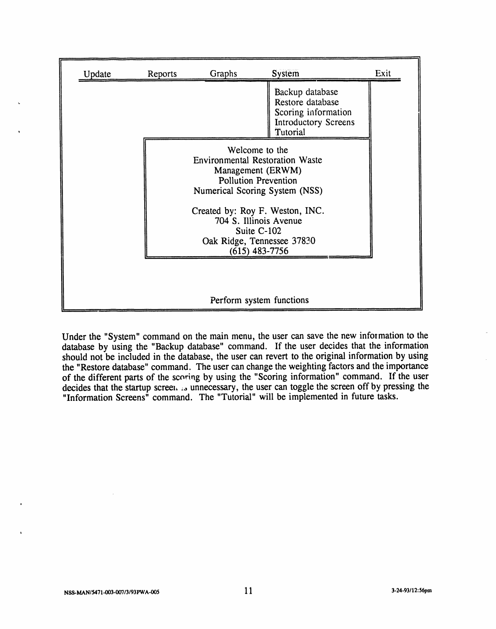| Reports | Graphs                   | <b>System</b>                                                                                                                                  | Exit |
|---------|--------------------------|------------------------------------------------------------------------------------------------------------------------------------------------|------|
|         |                          | Backup database<br>Restore database<br>Scoring information<br><b>Introductory Screens</b><br>Tutorial                                          |      |
|         |                          | Welcome to the<br><b>Environmental Restoration Waste</b><br>Management (ERWM)<br><b>Pollution Prevention</b><br>Numerical Scoring System (NSS) |      |
|         |                          | Created by: Roy F. Weston, INC.<br>704 S. Illinois Avenue<br>Suite C-102<br>Oak Ridge, Tennessee 37830<br>$(615)$ 483-7756                     |      |
|         | Perform system functions |                                                                                                                                                |      |

Under the "System" command on the main menu, the user can save the new information to the database by using the "Backup database" command. If the user decides that the inf*o*rmation should not be included in the database, the user can revert to the original information by using the "Restore database" command. The user can change the weighting factors and the importance of the different parts of the scoring by using the "Scoring information" command. If the user decides that the startup screeh **:**\_ unnecessary, the user can toggle the screen off by pressing the "Information Screens" command. The "Tutorial" will be implemented in future tasks.

'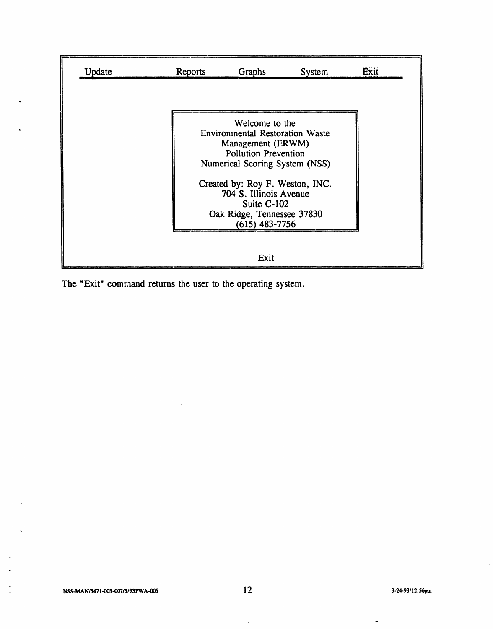| Update | Reports | Graphs                                                                                                                                                                                                                                                                       | System | Exit |
|--------|---------|------------------------------------------------------------------------------------------------------------------------------------------------------------------------------------------------------------------------------------------------------------------------------|--------|------|
|        |         |                                                                                                                                                                                                                                                                              |        |      |
|        |         | Welcome to the<br><b>Environmental Restoration Waste</b><br>Management (ERWM)<br><b>Pollution Prevention</b><br>Numerical Scoring System (NSS)<br>Created by: Roy F. Weston, INC.<br>704 S. Illinois Avenue<br>Suite C-102<br>Oak Ridge, Tennessee 37830<br>$(615)$ 483-7756 |        |      |
|        |         | Exit                                                                                                                                                                                                                                                                         |        |      |

The "Exit" command returns the user to the operating system.

 $\overline{a}$ 

 $\overline{a}$ 

 $\frac{1}{2}$  ,  $\frac{1}{2}$  ,  $\frac{1}{2}$ 

 $\hat{\mathbf{n}}$ 

 $\bar{r}$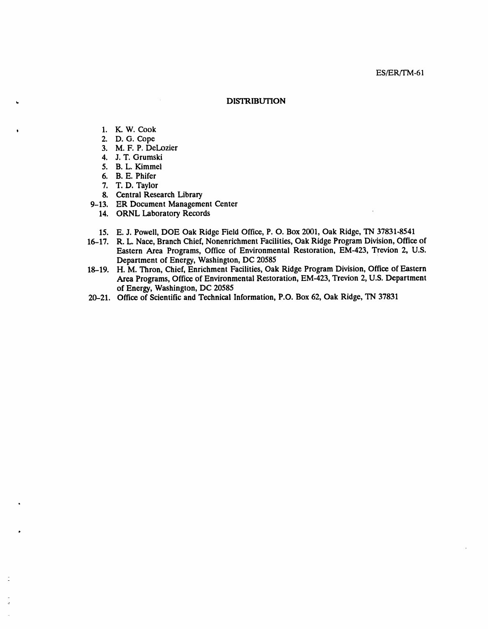#### ES/ER/TM-61

#### **DISTRIBUTION**

- 1. K. W. Cook
- 2. D. G. Cope
- 3. M. F. P. DeLozier
- 4. J. T. Grumski
- 5. B. L. Kimmel
- 6. B. E. Phifer
- 7. T. D. Taylor
- 8. Central Research Library
- 9-13. ER Document Management Center
	- 14. ORNL Laboratory Records
	- 15. E. J. Powell, DOE Oak Ridge Field Office, P. O. Box 2001, Oak Ridge, TN 37831-8541
- 16-17. R. L. Nace, Branch Chief, Nonenrichment Facilities, Oak Ridge Program Division, Office of Eastern Area Programs, Office of Environmental Restoration, EM-423, Trevion 2, U.S. Department of Energy, Washington, DC 20585
- 18-19. H. M. Thron, Chief, Enrichment Facilities, Oak Ridge Program Division, Office of Eastern Area Programs, Office of Environmental Restoration, EM-423, Trevion 2, U.S. Department of Energy, Washington, DC 20585
- 20-21. Office of Scientific and Technical Information, P.O. Box 62, Oak Ridge, TN 37831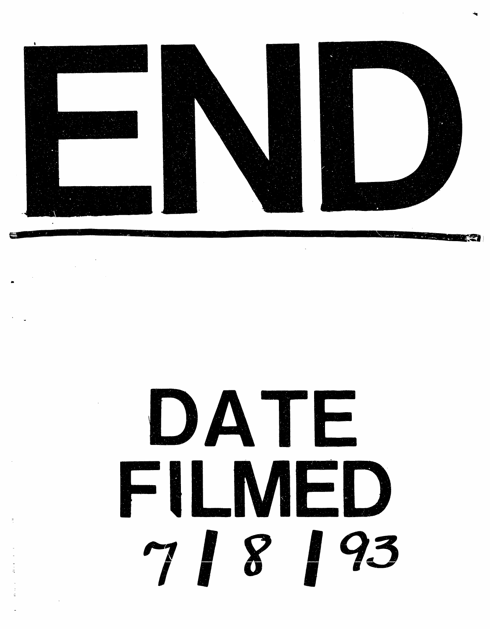

# DATE FILMFD 788193